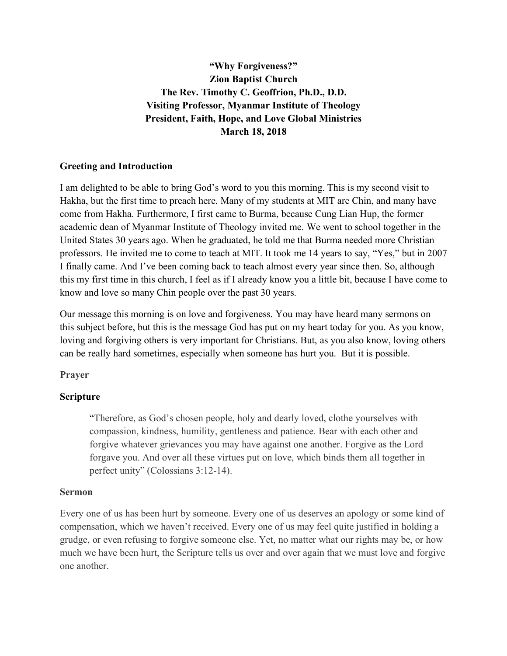**"Why Forgiveness?" Zion Baptist Church The Rev. Timothy C. Geoffrion, Ph.D., D.D. Visiting Professor, Myanmar Institute of Theology President, Faith, Hope, and Love Global Ministries March 18, 2018**

## **Greeting and Introduction**

I am delighted to be able to bring God's word to you this morning. This is my second visit to Hakha, but the first time to preach here. Many of my students at MIT are Chin, and many have come from Hakha. Furthermore, I first came to Burma, because Cung Lian Hup, the former academic dean of Myanmar Institute of Theology invited me. We went to school together in the United States 30 years ago. When he graduated, he told me that Burma needed more Christian professors. He invited me to come to teach at MIT. It took me 14 years to say, "Yes," but in 2007 I finally came. And I've been coming back to teach almost every year since then. So, although this my first time in this church, I feel as if I already know you a little bit, because I have come to know and love so many Chin people over the past 30 years.

Our message this morning is on love and forgiveness. You may have heard many sermons on this subject before, but this is the message God has put on my heart today for you. As you know, loving and forgiving others is very important for Christians. But, as you also know, loving others can be really hard sometimes, especially when someone has hurt you. But it is possible.

### **Prayer**

## **Scripture**

"Therefore, as God's chosen people, holy and dearly loved, clothe yourselves with compassion, kindness, humility, gentleness and patience. Bear with each other and forgive whatever grievances you may have against one another. Forgive as the Lord forgave you. And over all these virtues put on love, which binds them all together in perfect unity" (Colossians 3:12-14).

### **Sermon**

Every one of us has been hurt by someone. Every one of us deserves an apology or some kind of compensation, which we haven't received. Every one of us may feel quite justified in holding a grudge, or even refusing to forgive someone else. Yet, no matter what our rights may be, or how much we have been hurt, the Scripture tells us over and over again that we must love and forgive one another.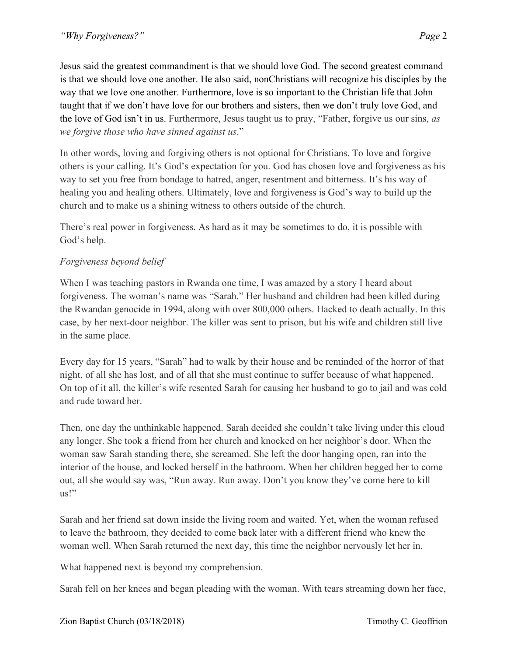Jesus said the greatest commandment is that we should love God. The second greatest command is that we should love one another. He also said, nonChristians will recognize his disciples by the way that we love one another. Furthermore, love is so important to the Christian life that John taught that if we don't have love for our brothers and sisters, then we don't truly love God, and the love of God isn't in us. Furthermore, Jesus taught us to pray, "Father, forgive us our sins, *as we forgive those who have sinned against us*."

In other words, loving and forgiving others is not optional for Christians. To love and forgive others is your calling. It's God's expectation for you. God has chosen love and forgiveness as his way to set you free from bondage to hatred, anger, resentment and bitterness. It's his way of healing you and healing others. Ultimately, love and forgiveness is God's way to build up the church and to make us a shining witness to others outside of the church.

There's real power in forgiveness. As hard as it may be sometimes to do, it is possible with God's help.

# *Forgiveness beyond belief*

When I was teaching pastors in Rwanda one time, I was amazed by a story I heard about forgiveness. The woman's name was "Sarah." Her husband and children had been killed during the Rwandan genocide in 1994, along with over 800,000 others. Hacked to death actually. In this case, by her next-door neighbor. The killer was sent to prison, but his wife and children still live in the same place.

Every day for 15 years, "Sarah" had to walk by their house and be reminded of the horror of that night, of all she has lost, and of all that she must continue to suffer because of what happened. On top of it all, the killer's wife resented Sarah for causing her husband to go to jail and was cold and rude toward her.

Then, one day the unthinkable happened. Sarah decided she couldn't take living under this cloud any longer. She took a friend from her church and knocked on her neighbor's door. When the woman saw Sarah standing there, she screamed. She left the door hanging open, ran into the interior of the house, and locked herself in the bathroom. When her children begged her to come out, all she would say was, "Run away. Run away. Don't you know they've come here to kill us!"

Sarah and her friend sat down inside the living room and waited. Yet, when the woman refused to leave the bathroom, they decided to come back later with a different friend who knew the woman well. When Sarah returned the next day, this time the neighbor nervously let her in.

What happened next is beyond my comprehension.

Sarah fell on her knees and began pleading with the woman. With tears streaming down her face,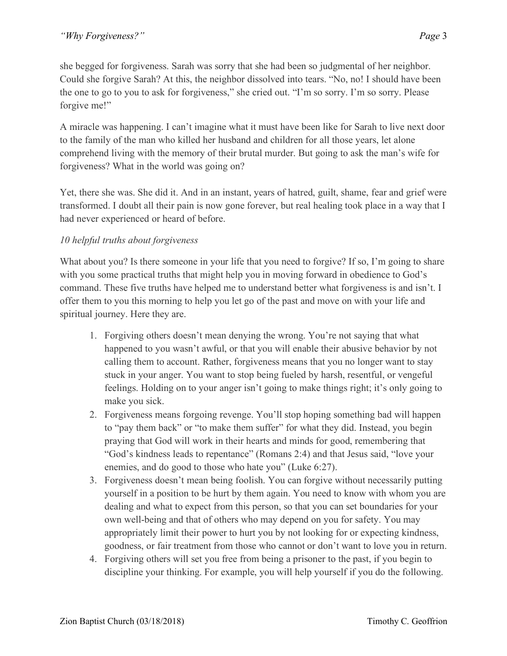she begged for forgiveness. Sarah was sorry that she had been so judgmental of her neighbor. Could she forgive Sarah? At this, the neighbor dissolved into tears. "No, no! I should have been the one to go to you to ask for forgiveness," she cried out. "I'm so sorry. I'm so sorry. Please forgive me!"

A miracle was happening. I can't imagine what it must have been like for Sarah to live next door to the family of the man who killed her husband and children for all those years, let alone comprehend living with the memory of their brutal murder. But going to ask the man's wife for forgiveness? What in the world was going on?

Yet, there she was. She did it. And in an instant, years of hatred, guilt, shame, fear and grief were transformed. I doubt all their pain is now gone forever, but real healing took place in a way that I had never experienced or heard of before.

# *10 helpful truths about forgiveness*

What about you? Is there someone in your life that you need to forgive? If so, I'm going to share with you some practical truths that might help you in moving forward in obedience to God's command. These five truths have helped me to understand better what forgiveness is and isn't. I offer them to you this morning to help you let go of the past and move on with your life and spiritual journey. Here they are.

- 1. Forgiving others doesn't mean denying the wrong. You're not saying that what happened to you wasn't awful, or that you will enable their abusive behavior by not calling them to account. Rather, forgiveness means that you no longer want to stay stuck in your anger. You want to stop being fueled by harsh, resentful, or vengeful feelings. Holding on to your anger isn't going to make things right; it's only going to make you sick.
- 2. Forgiveness means forgoing revenge. You'll stop hoping something bad will happen to "pay them back" or "to make them suffer" for what they did. Instead, you begin praying that God will work in their hearts and minds for good, remembering that "God's kindness leads to repentance" (Romans 2:4) and that Jesus said, "love your enemies, and do good to those who hate you" (Luke 6:27).
- 3. Forgiveness doesn't mean being foolish. You can forgive without necessarily putting yourself in a position to be hurt by them again. You need to know with whom you are dealing and what to expect from this person, so that you can set boundaries for your own well-being and that of others who may depend on you for safety. You may appropriately limit their power to hurt you by not looking for or expecting kindness, goodness, or fair treatment from those who cannot or don't want to love you in return.
- 4. Forgiving others will set you free from being a prisoner to the past, if you begin to discipline your thinking. For example, you will help yourself if you do the following.